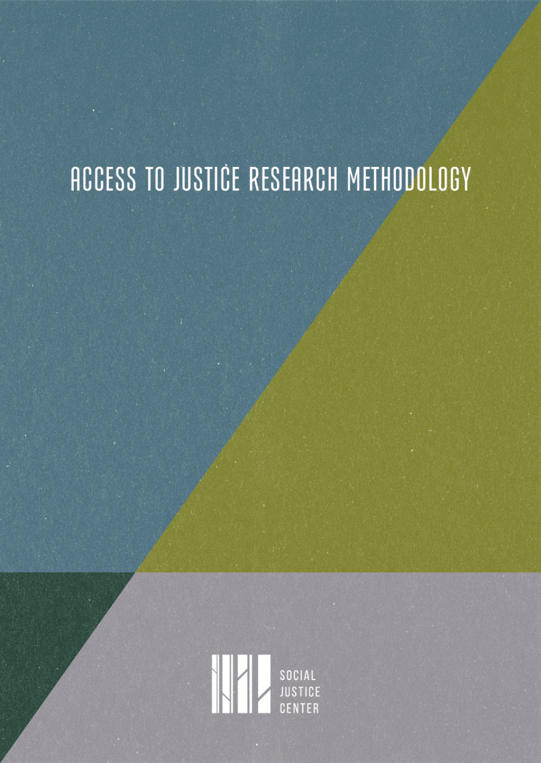# ACCESS TO JUSTICE RESEARCH METHODOLOGY

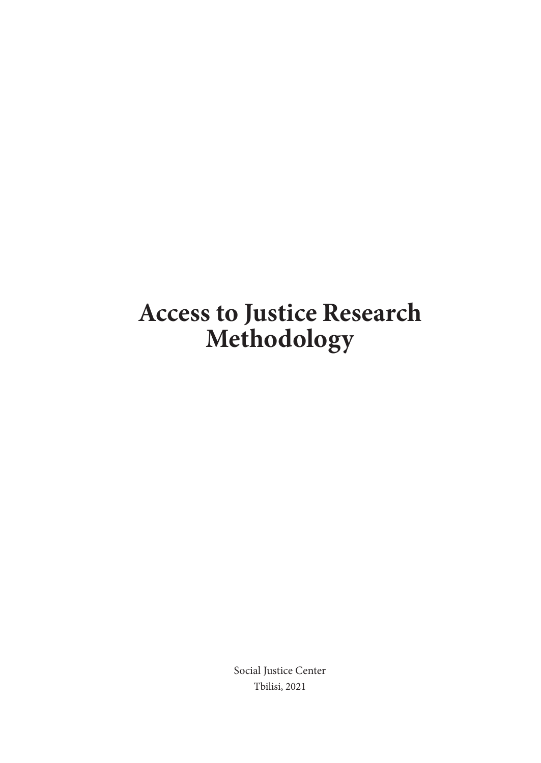# **Access to Justice Research Methodology**

Social Justice Center Tbilisi, 2021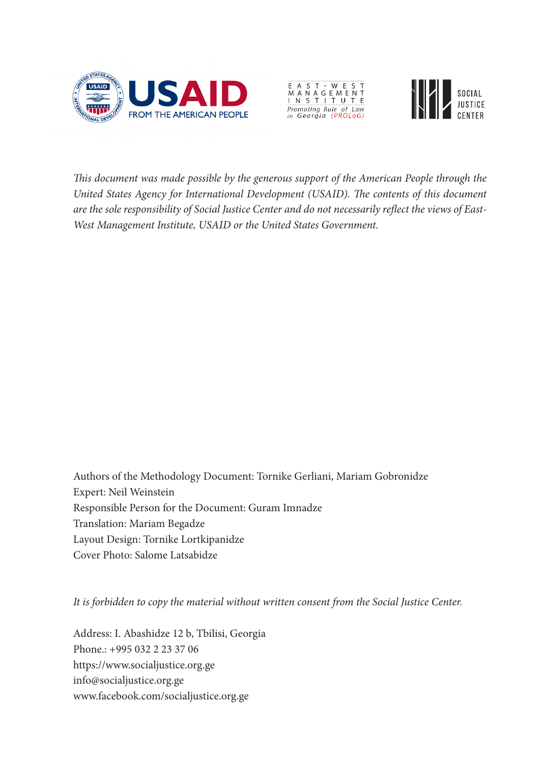





*This document was made possible by the generous support of the American People through the United States Agency for International Development (USAID). The contents of this document are the sole responsibility of Social Justice Center and do not necessarily reflect the views of East-West Management Institute, USAID or the United States Government.*

Authors of the Methodology Document: Tornike Gerliani, Mariam Gobronidze Expert: Neil Weinstein Responsible Person for the Document: Guram Imnadze Translation: Mariam Begadze Layout Design: Tornike Lortkipanidze Cover Photo: Salome Latsabidze

*It is forbidden to copy the material without written consent from the Social Justice Center.* 

Address: I. Abashidze 12 b, Tbilisi, Georgia Phone.: +995 032 2 23 37 06 <https://www.socialjustice.org.ge> [info@socialjustice.org.ge](mailto:info@socialjustice.org.ge) [www.facebook.com/socialjustice.org.ge](http://www.facebook.com/socialjustice.org.ge)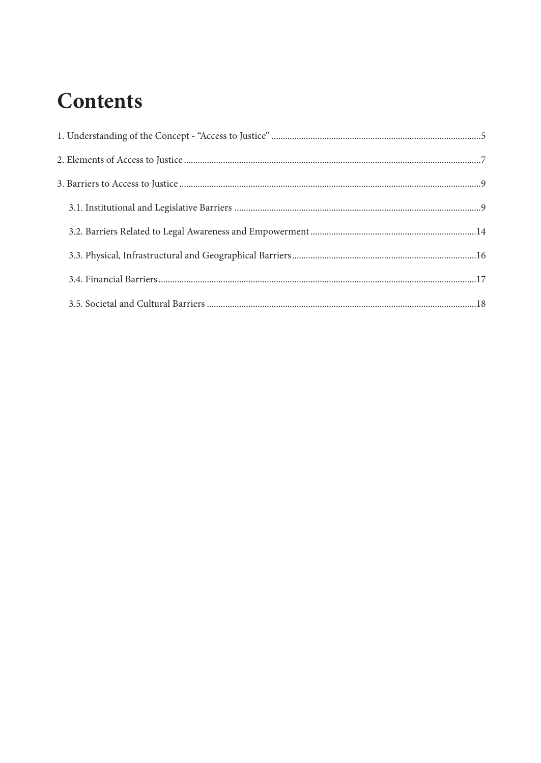# **Contents**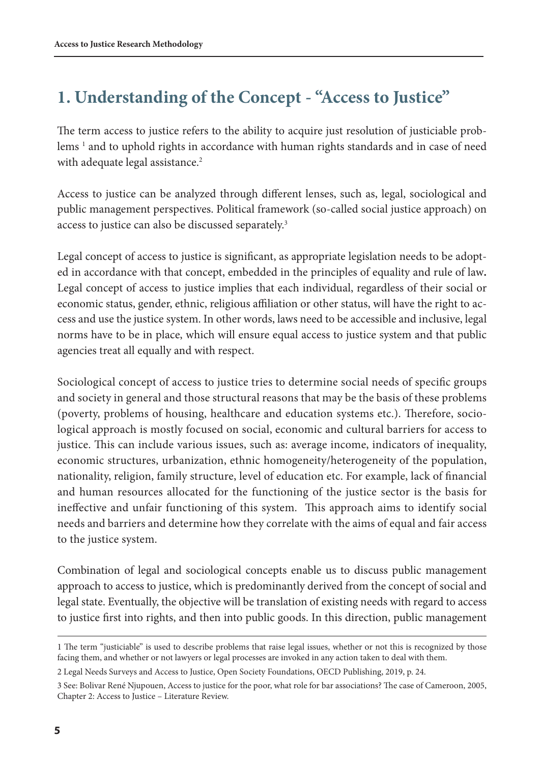## <span id="page-4-0"></span>**1. Understanding of the Concept - "Access to Justice"**

The term access to justice refers to the ability to acquire just resolution of justiciable problems 1 and to uphold rights in accordance with human rights standards and in case of need with adequate legal assistance.<sup>2</sup>

Access to justice can be analyzed through different lenses, such as, legal, sociological and public management perspectives. Political framework (so-called social justice approach) on access to justice can also be discussed separately.<sup>3</sup>

Legal concept of access to justice is significant, as appropriate legislation needs to be adopted in accordance with that concept, embedded in the principles of equality and rule of law**.** Legal concept of access to justice implies that each individual, regardless of their social or economic status, gender, ethnic, religious affiliation or other status, will have the right to access and use the justice system. In other words, laws need to be accessible and inclusive, legal norms have to be in place, which will ensure equal access to justice system and that public agencies treat all equally and with respect.

Sociological concept of access to justice tries to determine social needs of specific groups and society in general and those structural reasons that may be the basis of these problems (poverty, problems of housing, healthcare and education systems etc.). Therefore, sociological approach is mostly focused on social, economic and cultural barriers for access to justice. This can include various issues, such as: average income, indicators of inequality, economic structures, urbanization, ethnic homogeneity/heterogeneity of the population, nationality, religion, family structure, level of education etc. For example, lack of financial and human resources allocated for the functioning of the justice sector is the basis for ineffective and unfair functioning of this system. This approach aims to identify social needs and barriers and determine how they correlate with the aims of equal and fair access to the justice system.

Combination of legal and sociological concepts enable us to discuss public management approach to access to justice, which is predominantly derived from the concept of social and legal state. Eventually, the objective will be translation of existing needs with regard to access to justice first into rights, and then into public goods. In this direction, public management

<sup>1</sup> The term "justiciable" is used to describe problems that raise legal issues, whether or not this is recognized by those facing them, and whether or not lawyers or legal processes are invoked in any action taken to deal with them.

<sup>2</sup> Legal Needs Surveys and Access to Justice, Open Society Foundations, OECD Publishing, 2019, p. 24.

<sup>3</sup> See: Bolivar René Njupouen, Access to justice for the poor, what role for bar associations? The case of Cameroon, 2005, Chapter 2: Access to Justice – Literature Review.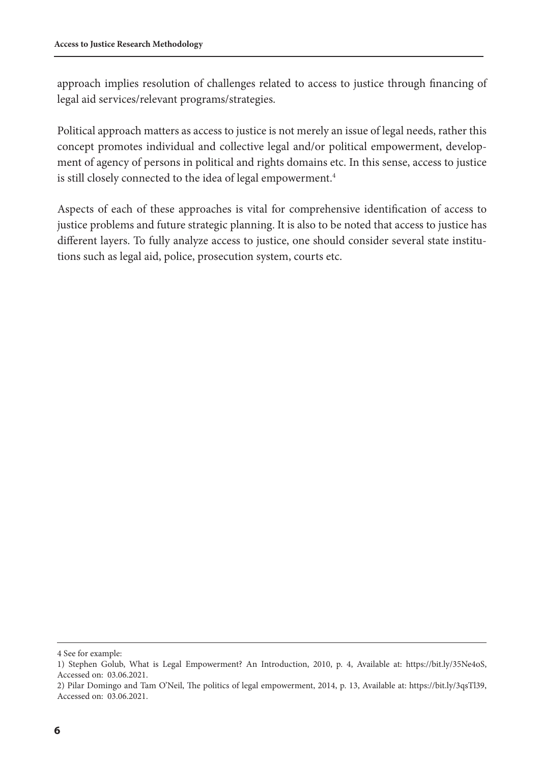approach implies resolution of challenges related to access to justice through financing of legal aid services/relevant programs/strategies.

Political approach matters as access to justice is not merely an issue of legal needs, rather this concept promotes individual and collective legal and/or political empowerment, development of agency of persons in political and rights domains etc. In this sense, access to justice is still closely connected to the idea of legal empowerment.<sup>4</sup>

Aspects of each of these approaches is vital for comprehensive identification of access to justice problems and future strategic planning. It is also to be noted that access to justice has different layers. To fully analyze access to justice, one should consider several state institutions such as legal aid, police, prosecution system, courts etc.

<sup>4</sup> See for example:

<sup>1)</sup> Stephen Golub, What is Legal Empowerment? An Introduction, 2010, p. 4, Available at: [https://bit.ly/35Ne4oS,](https://bit.ly/35Ne4oS) Accessed on: 03.06.2021.

<sup>2)</sup> Pilar Domingo and Tam O'Neil, The politics of legal empowerment, 2014, p. 13, Available at: [https://bit.ly/3qsTl39,](https://bit.ly/3qsTl39) Accessed on: 03.06.2021.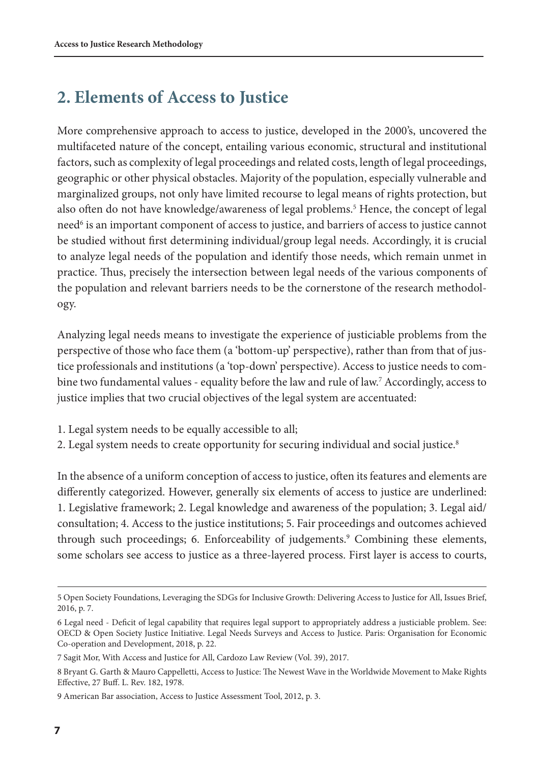## <span id="page-6-0"></span>**2. Elements of Access to Justice**

More comprehensive approach to access to justice, developed in the 2000's, uncovered the multifaceted nature of the concept, entailing various economic, structural and institutional factors, such as complexity of legal proceedings and related costs, length of legal proceedings, geographic or other physical obstacles. Majority of the population, especially vulnerable and marginalized groups, not only have limited recourse to legal means of rights protection, but also often do not have knowledge/awareness of legal problems.<sup>5</sup> Hence, the concept of legal need<sup>6</sup> is an important component of access to justice, and barriers of access to justice cannot be studied without first determining individual/group legal needs. Accordingly, it is crucial to analyze legal needs of the population and identify those needs, which remain unmet in practice. Thus, precisely the intersection between legal needs of the various components of the population and relevant barriers needs to be the cornerstone of the research methodology.

Analyzing legal needs means to investigate the experience of justiciable problems from the perspective of those who face them (a 'bottom-up' perspective), rather than from that of justice professionals and institutions (a 'top-down' perspective). Access to justice needs to combine two fundamental values - equality before the law and rule of law.7 Accordingly, access to justice implies that two crucial objectives of the legal system are accentuated:

- 1. Legal system needs to be equally accessible to all;
- 2. Legal system needs to create opportunity for securing individual and social justice.<sup>8</sup>

In the absence of a uniform conception of access to justice, often its features and elements are differently categorized. However, generally six elements of access to justice are underlined: 1. Legislative framework; 2. Legal knowledge and awareness of the population; 3. Legal aid/ consultation; 4. Access to the justice institutions; 5. Fair proceedings and outcomes achieved through such proceedings; 6. Enforceability of judgements.<sup>9</sup> Combining these elements, some scholars see access to justice as a three-layered process. First layer is access to courts,

<sup>5</sup> Open Society Foundations, Leveraging the SDGs for Inclusive Growth: Delivering Access to Justice for All, Issues Brief, 2016, p. 7.

<sup>6</sup> Legal need - Deficit of legal capability that requires legal support to appropriately address a justiciable problem. See: OECD & Open Society Justice Initiative. Legal Needs Surveys and Access to Justice. Paris: Organisation for Economic Co-operation and Development, 2018, p. 22.

<sup>7</sup> Sagit Mor, With Access and Justice for All, Cardozo Law Review (Vol. 39), 2017.

<sup>8</sup> Bryant G. Garth & Mauro Cappelletti, Access to Justice: The Newest Wave in the Worldwide Movement to Make Rights Effective, 27 Buff. L. Rev. 182, 1978.

<sup>9</sup> American Bar association, Access to Justice Assessment Tool, 2012, p. 3.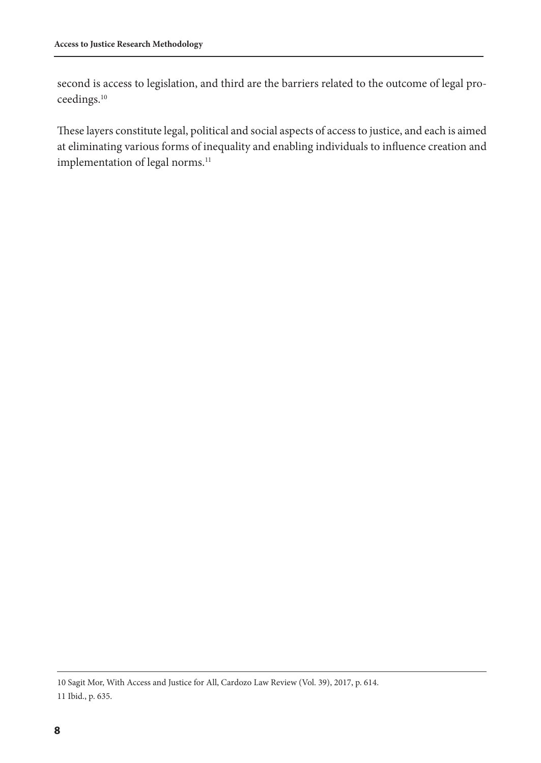second is access to legislation, and third are the barriers related to the outcome of legal proceedings.10

These layers constitute legal, political and social aspects of access to justice, and each is aimed at eliminating various forms of inequality and enabling individuals to influence creation and implementation of legal norms.<sup>11</sup>

<sup>10</sup> Sagit Mor, With Access and Justice for All, Cardozo Law Review (Vol. 39), 2017, p. 614. 11 Ibid., p. 635.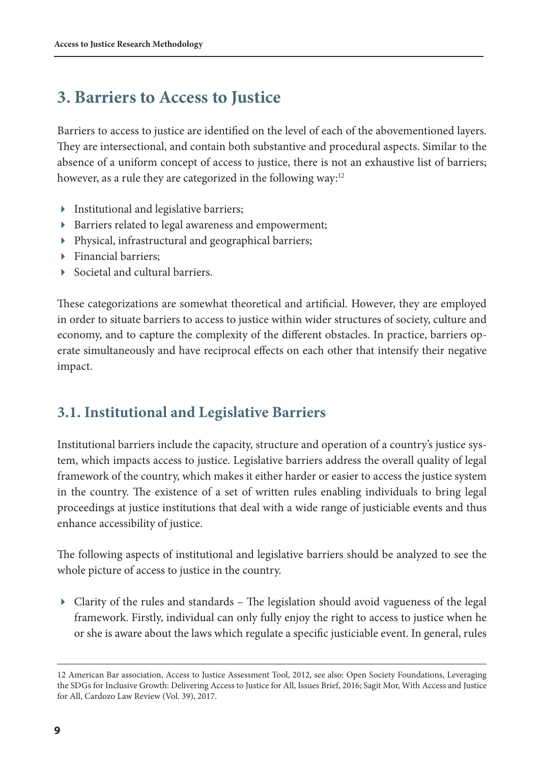### <span id="page-8-0"></span>**3. Barriers to Access to Justice**

Barriers to access to justice are identified on the level of each of the abovementioned layers. They are intersectional, and contain both substantive and procedural aspects. Similar to the absence of a uniform concept of access to justice, there is not an exhaustive list of barriers; however, as a rule they are categorized in the following way:<sup>12</sup>

- Institutional and legislative barriers;
- Barriers related to legal awareness and empowerment;
- Physical, infrastructural and geographical barriers;
- Financial barriers;
- Societal and cultural barriers.

These categorizations are somewhat theoretical and artificial. However, they are employed in order to situate barriers to access to justice within wider structures of society, culture and economy, and to capture the complexity of the different obstacles. In practice, barriers operate simultaneously and have reciprocal effects on each other that intensify their negative impact.

#### **3.1. Institutional and Legislative Barriers**

Institutional barriers include the capacity, structure and operation of a country's justice system, which impacts access to justice. Legislative barriers address the overall quality of legal framework of the country, which makes it either harder or easier to access the justice system in the country. The existence of a set of written rules enabling individuals to bring legal proceedings at justice institutions that deal with a wide range of justiciable events and thus enhance accessibility of justice.

The following aspects of institutional and legislative barriers should be analyzed to see the whole picture of access to justice in the country.

 Clarity of the rules and standards – The legislation should avoid vagueness of the legal framework. Firstly, individual can only fully enjoy the right to access to justice when he or she is aware about the laws which regulate a specific justiciable event. In general, rules

<sup>12</sup> American Bar association, Access to Justice Assessment Tool, 2012, see also: Open Society Foundations, Leveraging the SDGs for Inclusive Growth: Delivering Access to Justice for All, Issues Brief, 2016; Sagit Mor, With Access and Justice for All, Cardozo Law Review (Vol. 39), 2017.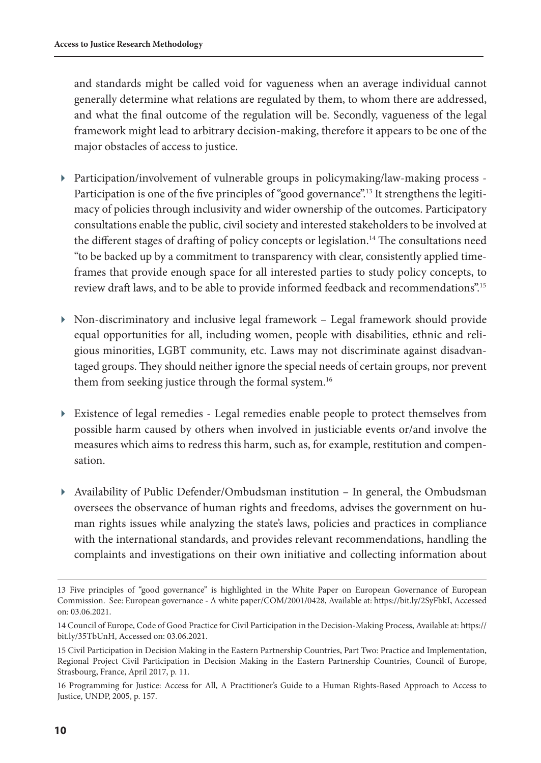and standards might be called void for vagueness when an average individual cannot generally determine what relations are regulated by them, to whom there are addressed, and what the final outcome of the regulation will be. Secondly, vagueness of the legal framework might lead to arbitrary decision-making, therefore it appears to be one of the major obstacles of access to justice.

- Participation/involvement of vulnerable groups in policymaking/law-making process Participation is one of the five principles of "good governance".<sup>13</sup> It strengthens the legitimacy of policies through inclusivity and wider ownership of the outcomes. Participatory consultations enable the public, civil society and interested stakeholders to be involved at the different stages of drafting of policy concepts or legislation.<sup>14</sup> The consultations need "to be backed up by a commitment to transparency with clear, consistently applied timeframes that provide enough space for all interested parties to study policy concepts, to review draft laws, and to be able to provide informed feedback and recommendations".15
- Non-discriminatory and inclusive legal framework Legal framework should provide equal opportunities for all, including women, people with disabilities, ethnic and religious minorities, LGBT community, etc. Laws may not discriminate against disadvantaged groups. They should neither ignore the special needs of certain groups, nor prevent them from seeking justice through the formal system.<sup>16</sup>
- Existence of legal remedies Legal remedies enable people to protect themselves from possible harm caused by others when involved in justiciable events or/and involve the measures which aims to redress this harm, such as, for example, restitution and compensation.
- Availability of Public Defender/Ombudsman institution In general, the Ombudsman oversees the observance of human rights and freedoms, advises the government on human rights issues while analyzing the state's laws, policies and practices in compliance with the international standards, and provides relevant recommendations, handling the complaints and investigations on their own initiative and collecting information about

<sup>13</sup> Five principles of "good governance" is highlighted in the White Paper on European Governance of European Commission. See: European governance - A white paper/COM/2001/0428, Available at:<https://bit.ly/2SyFbkI>, Accessed on: 03.06.2021.

<sup>14</sup> Council of Europe, Code of Good Practice for Civil Participation in the Decision-Making Process, Available at: [https://](https://bit.ly/35TbUnH) [bit.ly/35TbUnH](https://bit.ly/35TbUnH), Accessed on: 03.06.2021.

<sup>15</sup> Civil Participation in Decision Making in the Eastern Partnership Countries, Part Two: Practice and Implementation, Regional Project Civil Participation in Decision Making in the Eastern Partnership Countries, Council of Europe, Strasbourg, France, April 2017, p. 11.

<sup>16</sup> Programming for Justice: Access for All, A Practitioner's Guide to a Human Rights-Based Approach to Access to Justice, UNDP, 2005, p. 157.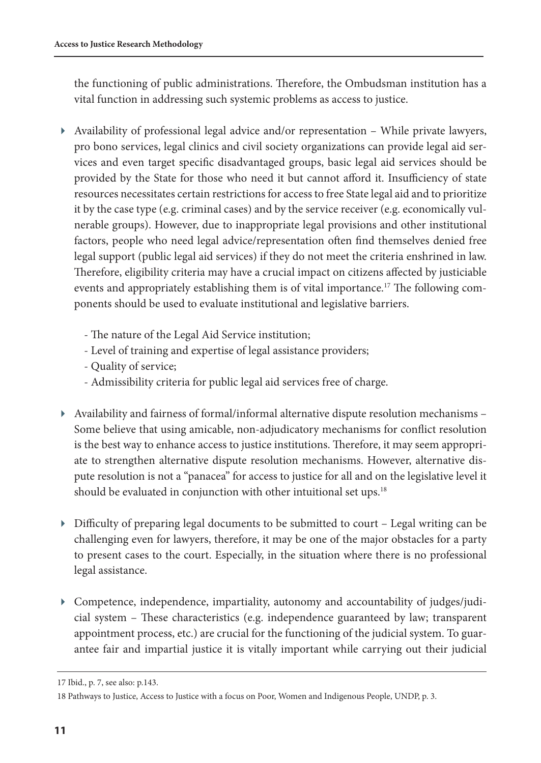the functioning of public administrations. Therefore, the Ombudsman institution has a vital function in addressing such systemic problems as access to justice.

- Availability of professional legal advice and/or representation While private lawyers, pro bono services, legal clinics and civil society organizations can provide legal aid services and even target specific disadvantaged groups, basic legal aid services should be provided by the State for those who need it but cannot afford it. Insufficiency of state resources necessitates certain restrictions for access to free State legal aid and to prioritize it by the case type (e.g. criminal cases) and by the service receiver (e.g. economically vulnerable groups). However, due to inappropriate legal provisions and other institutional factors, people who need legal advice/representation often find themselves denied free legal support (public legal aid services) if they do not meet the criteria enshrined in law. Therefore, eligibility criteria may have a crucial impact on citizens affected by justiciable events and appropriately establishing them is of vital importance.<sup>17</sup> The following components should be used to evaluate institutional and legislative barriers.
	- The nature of the Legal Aid Service institution;
	- Level of training and expertise of legal assistance providers;
	- Quality of service;
	- Admissibility criteria for public legal aid services free of charge.
- Availability and fairness of formal/informal alternative dispute resolution mechanisms Some believe that using amicable, non-adjudicatory mechanisms for conflict resolution is the best way to enhance access to justice institutions. Therefore, it may seem appropriate to strengthen alternative dispute resolution mechanisms. However, alternative dispute resolution is not a "panacea" for access to justice for all and on the legislative level it should be evaluated in conjunction with other intuitional set ups.<sup>18</sup>
- Difficulty of preparing legal documents to be submitted to court Legal writing can be challenging even for lawyers, therefore, it may be one of the major obstacles for a party to present cases to the court. Especially, in the situation where there is no professional legal assistance.
- Competence, independence, impartiality, autonomy and accountability of judges/judicial system – These characteristics (e.g. independence guaranteed by law; transparent appointment process, etc.) are crucial for the functioning of the judicial system. To guarantee fair and impartial justice it is vitally important while carrying out their judicial

<sup>17</sup> Ibid., p. 7, see also: p.143.

<sup>18</sup> Pathways to Justice, Access to Justice with a focus on Poor, Women and Indigenous People, UNDP, p. 3.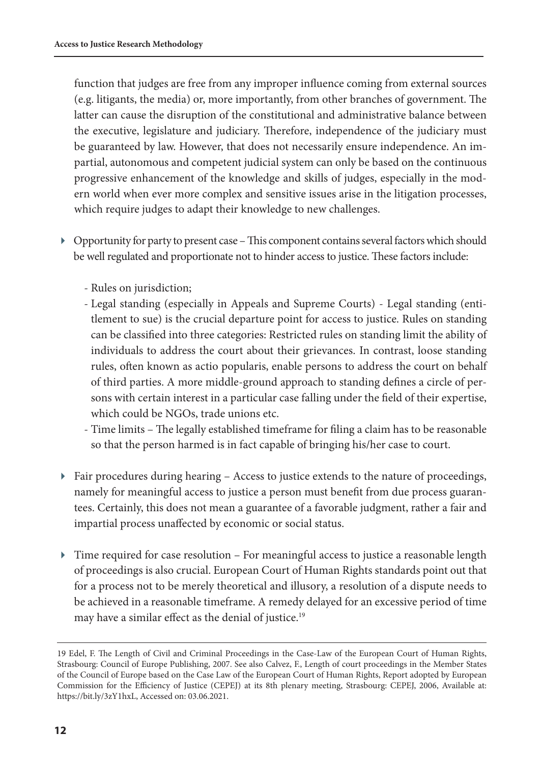function that judges are free from any improper influence coming from external sources (e.g. litigants, the media) or, more importantly, from other branches of government. The latter can cause the disruption of the constitutional and administrative balance between the executive, legislature and judiciary. Therefore, independence of the judiciary must be guaranteed by law. However, that does not necessarily ensure independence. An impartial, autonomous and competent judicial system can only be based on the continuous progressive enhancement of the knowledge and skills of judges, especially in the modern world when ever more complex and sensitive issues arise in the litigation processes, which require judges to adapt their knowledge to new challenges.

- Opportunity for party to present case This component contains several factors which should be well regulated and proportionate not to hinder access to justice. These factors include:
	- Rules on jurisdiction;
	- Legal standing (especially in Appeals and Supreme Courts) Legal standing (entitlement to sue) is the crucial departure point for access to justice. Rules on standing can be classified into three categories: Restricted rules on standing limit the ability of individuals to address the court about their grievances. In contrast, loose standing rules, often known as actio popularis, enable persons to address the court on behalf of third parties. A more middle-ground approach to standing defines a circle of persons with certain interest in a particular case falling under the field of their expertise, which could be NGOs, trade unions etc.
	- Time limits The legally established timeframe for filing a claim has to be reasonable so that the person harmed is in fact capable of bringing his/her case to court.
- $\blacktriangleright$  Fair procedures during hearing Access to justice extends to the nature of proceedings, namely for meaningful access to justice a person must benefit from due process guarantees. Certainly, this does not mean a guarantee of a favorable judgment, rather a fair and impartial process unaffected by economic or social status.
- Time required for case resolution For meaningful access to justice a reasonable length of proceedings is also crucial. European Court of Human Rights standards point out that for a process not to be merely theoretical and illusory, a resolution of a dispute needs to be achieved in a reasonable timeframe. A remedy delayed for an excessive period of time may have a similar effect as the denial of justice.<sup>19</sup>

<sup>19</sup> Edel, F. The Length of Civil and Criminal Proceedings in the Case-Law of the European Court of Human Rights, Strasbourg: Council of Europe Publishing, 2007. See also Calvez, F., Length of court proceedings in the Member States of the Council of Europe based on the Case Law of the European Court of Human Rights, Report adopted by European Commission for the Efficiency of Justice (CEPEJ) at its 8th plenary meeting, Strasbourg: CEPEJ, 2006, Available at: <https://bit.ly/3zY1hxL>, Accessed on: 03.06.2021.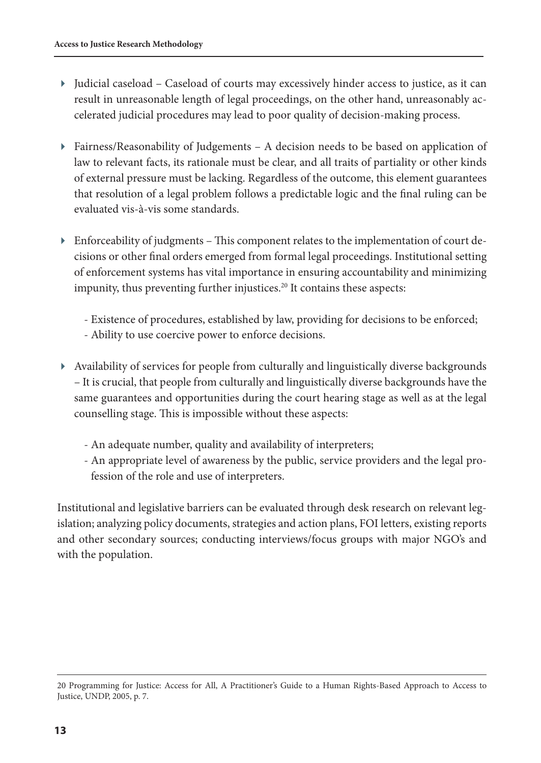- Judicial caseload Caseload of courts may excessively hinder access to justice, as it can result in unreasonable length of legal proceedings, on the other hand, unreasonably accelerated judicial procedures may lead to poor quality of decision-making process.
- Fairness/Reasonability of Judgements A decision needs to be based on application of law to relevant facts, its rationale must be clear, and all traits of partiality or other kinds of external pressure must be lacking. Regardless of the outcome, this element guarantees that resolution of a legal problem follows a predictable logic and the final ruling can be evaluated vis-à-vis some standards.
- Enforceability of judgments This component relates to the implementation of court decisions or other final orders emerged from formal legal proceedings. Institutional setting of enforcement systems has vital importance in ensuring accountability and minimizing impunity, thus preventing further injustices.<sup>20</sup> It contains these aspects:
	- Existence of procedures, established by law, providing for decisions to be enforced;
	- Ability to use coercive power to enforce decisions.
- Availability of services for people from culturally and linguistically diverse backgrounds – It is crucial, that people from culturally and linguistically diverse backgrounds have the same guarantees and opportunities during the court hearing stage as well as at the legal counselling stage. This is impossible without these aspects:
	- An adequate number, quality and availability of interpreters;
	- An appropriate level of awareness by the public, service providers and the legal profession of the role and use of interpreters.

Institutional and legislative barriers can be evaluated through desk research on relevant legislation; analyzing policy documents, strategies and action plans, FOI letters, existing reports and other secondary sources; conducting interviews/focus groups with major NGO's and with the population.

<sup>20</sup> Programming for Justice: Access for All, A Practitioner's Guide to a Human Rights-Based Approach to Access to Justice, UNDP, 2005, p. 7.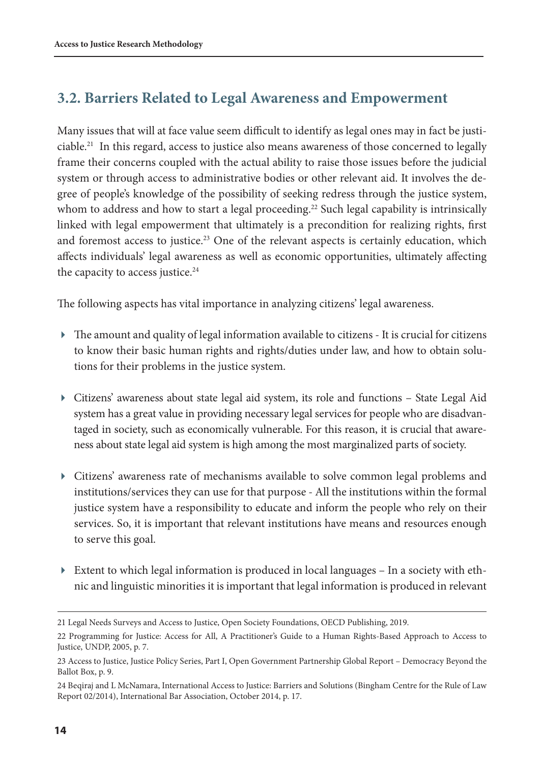#### <span id="page-13-0"></span>**3.2. Barriers Related to Legal Awareness and Empowerment**

Many issues that will at face value seem difficult to identify as legal ones may in fact be justiciable.21 In this regard, access to justice also means awareness of those concerned to legally frame their concerns coupled with the actual ability to raise those issues before the judicial system or through access to administrative bodies or other relevant aid. It involves the degree of people's knowledge of the possibility of seeking redress through the justice system, whom to address and how to start a legal proceeding.<sup>22</sup> Such legal capability is intrinsically linked with legal empowerment that ultimately is a precondition for realizing rights, first and foremost access to justice.<sup>23</sup> One of the relevant aspects is certainly education, which affects individuals' legal awareness as well as economic opportunities, ultimately affecting the capacity to access justice.<sup>24</sup>

The following aspects has vital importance in analyzing citizens' legal awareness.

- The amount and quality of legal information available to citizens It is crucial for citizens to know their basic human rights and rights/duties under law, and how to obtain solutions for their problems in the justice system.
- Citizens' awareness about state legal aid system, its role and functions State Legal Aid system has a great value in providing necessary legal services for people who are disadvantaged in society, such as economically vulnerable. For this reason, it is crucial that awareness about state legal aid system is high among the most marginalized parts of society.
- Citizens' awareness rate of mechanisms available to solve common legal problems and institutions/services they can use for that purpose - All the institutions within the formal justice system have a responsibility to educate and inform the people who rely on their services. So, it is important that relevant institutions have means and resources enough to serve this goal.
- Extent to which legal information is produced in local languages In a society with ethnic and linguistic minorities it is important that legal information is produced in relevant

<sup>21</sup> Legal Needs Surveys and Access to Justice, Open Society Foundations, OECD Publishing, 2019.

<sup>22</sup> Programming for Justice: Access for All, A Practitioner's Guide to a Human Rights-Based Approach to Access to Justice, UNDP, 2005, p. 7.

<sup>23</sup> Access to Justice, Justice Policy Series, Part I, Open Government Partnership Global Report – Democracy Beyond the Ballot Box, p. 9.

<sup>24</sup> Beqiraj and L McNamara, International Access to Justice: Barriers and Solutions (Bingham Centre for the Rule of Law Report 02/2014), International Bar Association, October 2014, p. 17.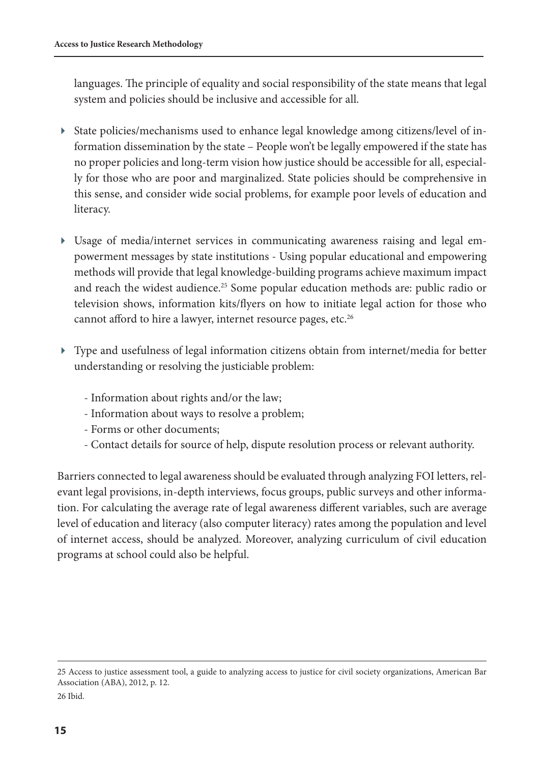languages. The principle of equality and social responsibility of the state means that legal system and policies should be inclusive and accessible for all.

- State policies/mechanisms used to enhance legal knowledge among citizens/level of information dissemination by the state – People won't be legally empowered if the state has no proper policies and long-term vision how justice should be accessible for all, especially for those who are poor and marginalized. State policies should be comprehensive in this sense, and consider wide social problems, for example poor levels of education and literacy.
- Usage of media/internet services in communicating awareness raising and legal empowerment messages by state institutions - Using popular educational and empowering methods will provide that legal knowledge-building programs achieve maximum impact and reach the widest audience.<sup>25</sup> Some popular education methods are: public radio or television shows, information kits/flyers on how to initiate legal action for those who cannot afford to hire a lawyer, internet resource pages, etc.<sup>26</sup>
- Type and usefulness of legal information citizens obtain from internet/media for better understanding or resolving the justiciable problem:
	- Information about rights and/or the law;
	- Information about ways to resolve a problem;
	- Forms or other documents;
- Contact details for source of help, dispute resolution process or relevant authority.

Barriers connected to legal awareness should be evaluated through analyzing FOI letters, relevant legal provisions, in-depth interviews, focus groups, public surveys and other information. For calculating the average rate of legal awareness different variables, such are average level of education and literacy (also computer literacy) rates among the population and level of internet access, should be analyzed. Moreover, analyzing curriculum of civil education programs at school could also be helpful.

<sup>25</sup> Access to justice assessment tool, a guide to analyzing access to justice for civil society organizations, American Bar Association (ABA), 2012, p. 12. 26 Ibid.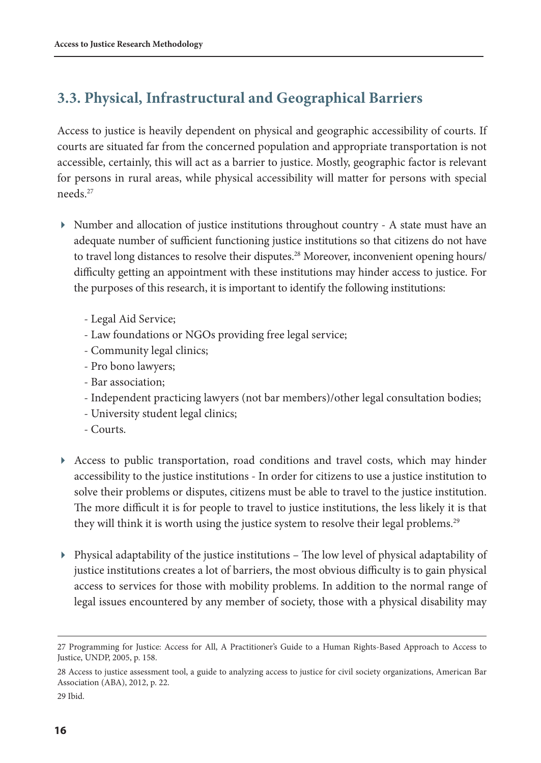#### <span id="page-15-0"></span>**3.3. Physical, Infrastructural and Geographical Barriers**

Access to justice is heavily dependent on physical and geographic accessibility of courts. If courts are situated far from the concerned population and appropriate transportation is not accessible, certainly, this will act as a barrier to justice. Mostly, geographic factor is relevant for persons in rural areas, while physical accessibility will matter for persons with special needs<sup>27</sup>

- Number and allocation of justice institutions throughout country A state must have an adequate number of sufficient functioning justice institutions so that citizens do not have to travel long distances to resolve their disputes.<sup>28</sup> Moreover, inconvenient opening hours/ difficulty getting an appointment with these institutions may hinder access to justice. For the purposes of this research, it is important to identify the following institutions:
	- Legal Aid Service;
	- Law foundations or NGOs providing free legal service;
	- Community legal clinics;
	- Pro bono lawyers;
	- Bar association;
	- Independent practicing lawyers (not bar members)/other legal consultation bodies;
	- University student legal clinics;
	- Courts.
- Access to public transportation, road conditions and travel costs, which may hinder accessibility to the justice institutions - In order for citizens to use a justice institution to solve their problems or disputes, citizens must be able to travel to the justice institution. The more difficult it is for people to travel to justice institutions, the less likely it is that they will think it is worth using the justice system to resolve their legal problems.<sup>29</sup>
- Physical adaptability of the justice institutions The low level of physical adaptability of justice institutions creates a lot of barriers, the most obvious difficulty is to gain physical access to services for those with mobility problems. In addition to the normal range of legal issues encountered by any member of society, those with a physical disability may

29 Ibid.

<sup>27</sup> Programming for Justice: Access for All, A Practitioner's Guide to a Human Rights-Based Approach to Access to Justice, UNDP, 2005, p. 158.

<sup>28</sup> Access to justice assessment tool, a guide to analyzing access to justice for civil society organizations, American Bar Association (ABA), 2012, p. 22.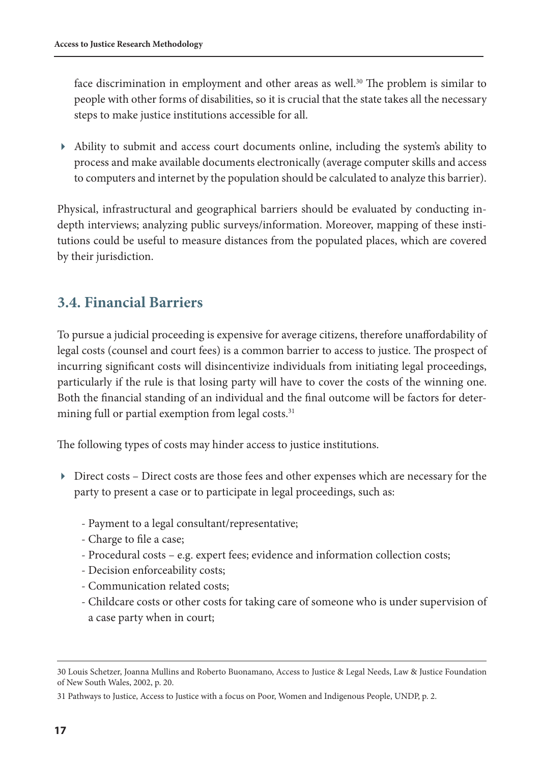<span id="page-16-0"></span>face discrimination in employment and other areas as well.<sup>30</sup> The problem is similar to people with other forms of disabilities, so it is crucial that the state takes all the necessary steps to make justice institutions accessible for all.

 Ability to submit and access court documents online, including the system's ability to process and make available documents electronically (average computer skills and access to computers and internet by the population should be calculated to analyze this barrier).

Physical, infrastructural and geographical barriers should be evaluated by conducting indepth interviews; analyzing public surveys/information. Moreover, mapping of these institutions could be useful to measure distances from the populated places, which are covered by their jurisdiction.

#### **3.4. Financial Barriers**

To pursue a judicial proceeding is expensive for average citizens, therefore unaffordability of legal costs (counsel and court fees) is a common barrier to access to justice. The prospect of incurring significant costs will disincentivize individuals from initiating legal proceedings, particularly if the rule is that losing party will have to cover the costs of the winning one. Both the financial standing of an individual and the final outcome will be factors for determining full or partial exemption from legal costs.<sup>31</sup>

The following types of costs may hinder access to justice institutions.

- Direct costs Direct costs are those fees and other expenses which are necessary for the party to present a case or to participate in legal proceedings, such as:
	- Payment to a legal consultant/representative;
	- Charge to file a case;
	- Procedural costs e.g. expert fees; evidence and information collection costs;
	- Decision enforceability costs;
	- Communication related costs;
	- Childcare costs or other costs for taking care of someone who is under supervision of a case party when in court;

<sup>30</sup> Louis Schetzer, Joanna Mullins and Roberto Buonamano, Access to Justice & Legal Needs, Law & Justice Foundation of New South Wales, 2002, p. 20.

<sup>31</sup> Pathways to Justice, Access to Justice with a focus on Poor, Women and Indigenous People, UNDP, p. 2.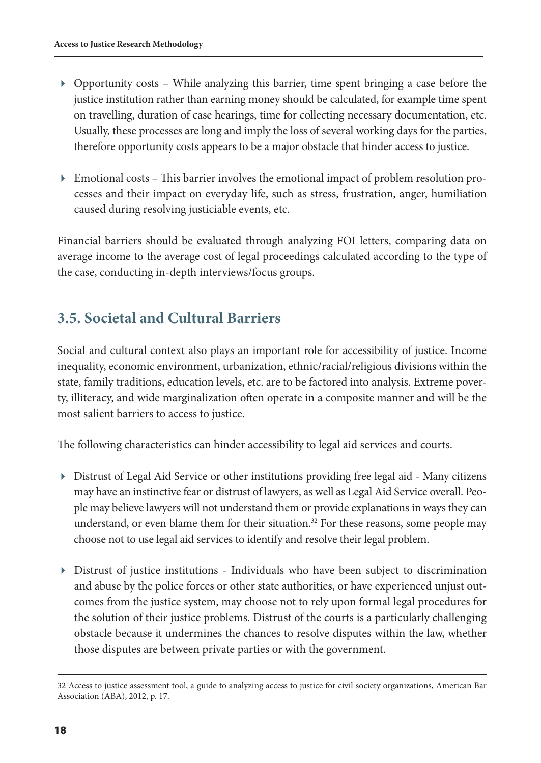- <span id="page-17-0"></span> Opportunity costs – While analyzing this barrier, time spent bringing a case before the justice institution rather than earning money should be calculated, for example time spent on travelling, duration of case hearings, time for collecting necessary documentation, etc. Usually, these processes are long and imply the loss of several working days for the parties, therefore opportunity costs appears to be a major obstacle that hinder access to justice.
- Emotional costs This barrier involves the emotional impact of problem resolution processes and their impact on everyday life, such as stress, frustration, anger, humiliation caused during resolving justiciable events, etc.

Financial barriers should be evaluated through analyzing FOI letters, comparing data on average income to the average cost of legal proceedings calculated according to the type of the case, conducting in-depth interviews/focus groups.

#### **3.5. Societal and Cultural Barriers**

Social and cultural context also plays an important role for accessibility of justice. Income inequality, economic environment, urbanization, ethnic/racial/religious divisions within the state, family traditions, education levels, etc. are to be factored into analysis. Extreme poverty, illiteracy, and wide marginalization often operate in a composite manner and will be the most salient barriers to access to justice.

The following characteristics can hinder accessibility to legal aid services and courts.

- Distrust of Legal Aid Service or other institutions providing free legal aid Many citizens may have an instinctive fear or distrust of lawyers, as well as Legal Aid Service overall. People may believe lawyers will not understand them or provide explanations in ways they can understand, or even blame them for their situation.<sup>32</sup> For these reasons, some people may choose not to use legal aid services to identify and resolve their legal problem.
- Distrust of justice institutions Individuals who have been subject to discrimination and abuse by the police forces or other state authorities, or have experienced unjust outcomes from the justice system, may choose not to rely upon formal legal procedures for the solution of their justice problems. Distrust of the courts is a particularly challenging obstacle because it undermines the chances to resolve disputes within the law, whether those disputes are between private parties or with the government.

<sup>32</sup> Access to justice assessment tool, a guide to analyzing access to justice for civil society organizations, American Bar Association (ABA), 2012, p. 17.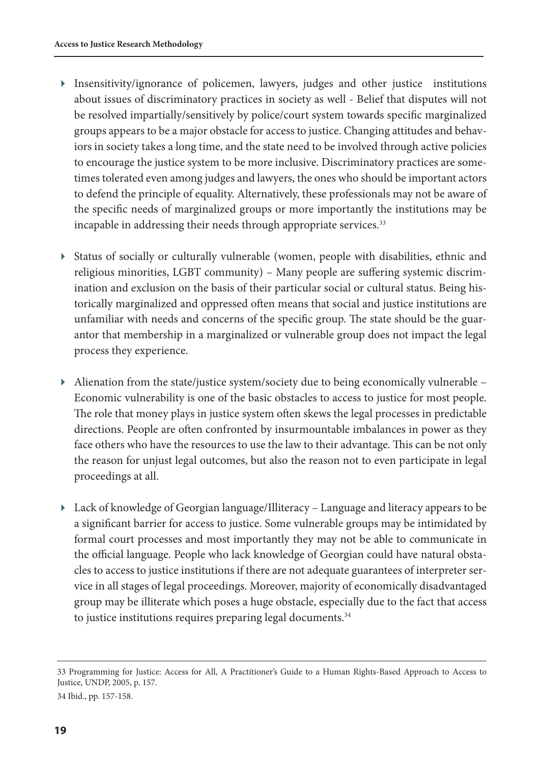- Insensitivity/ignorance of policemen, lawyers, judges and other justice institutions about issues of discriminatory practices in society as well - Belief that disputes will not be resolved impartially/sensitively by police/court system towards specific marginalized groups appears to be a major obstacle for access to justice. Changing attitudes and behaviors in society takes a long time, and the state need to be involved through active policies to encourage the justice system to be more inclusive. Discriminatory practices are sometimes tolerated even among judges and lawyers, the ones who should be important actors to defend the principle of equality. Alternatively, these professionals may not be aware of the specific needs of marginalized groups or more importantly the institutions may be incapable in addressing their needs through appropriate services.<sup>33</sup>
- Status of socially or culturally vulnerable (women, people with disabilities, ethnic and religious minorities, LGBT community) – Many people are suffering systemic discrimination and exclusion on the basis of their particular social or cultural status. Being historically marginalized and oppressed often means that social and justice institutions are unfamiliar with needs and concerns of the specific group. The state should be the guarantor that membership in a marginalized or vulnerable group does not impact the legal process they experience.
- $\blacktriangleright$  Alienation from the state/justice system/society due to being economically vulnerable Economic vulnerability is one of the basic obstacles to access to justice for most people. The role that money plays in justice system often skews the legal processes in predictable directions. People are often confronted by insurmountable imbalances in power as they face others who have the resources to use the law to their advantage. This can be not only the reason for unjust legal outcomes, but also the reason not to even participate in legal proceedings at all.
- Lack of knowledge of Georgian language/Illiteracy Language and literacy appears to be a significant barrier for access to justice. Some vulnerable groups may be intimidated by formal court processes and most importantly they may not be able to communicate in the official language. People who lack knowledge of Georgian could have natural obstacles to access to justice institutions if there are not adequate guarantees of interpreter service in all stages of legal proceedings. Moreover, majority of economically disadvantaged group may be illiterate which poses a huge obstacle, especially due to the fact that access to justice institutions requires preparing legal documents.<sup>34</sup>

<sup>33</sup> Programming for Justice: Access for All, A Practitioner's Guide to a Human Rights-Based Approach to Access to Justice, UNDP, 2005, p. 157.

<sup>34</sup> Ibid., pp. 157-158.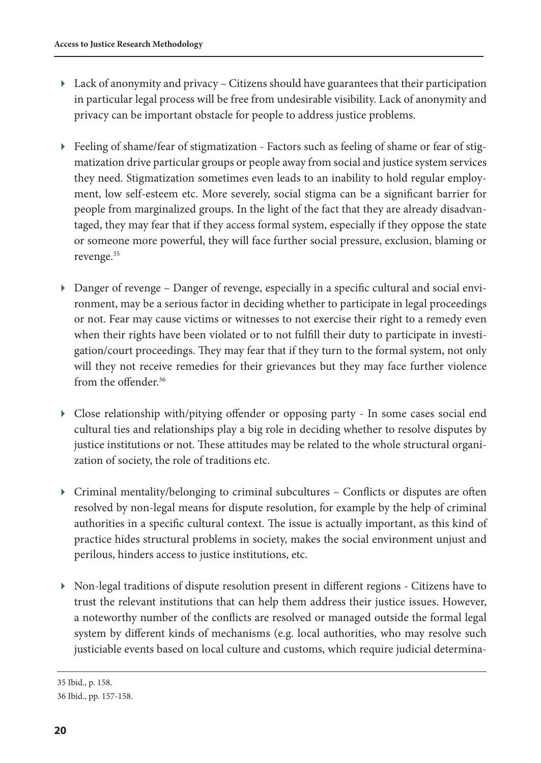- $\blacktriangleright$  Lack of anonymity and privacy Citizens should have guarantees that their participation in particular legal process will be free from undesirable visibility. Lack of anonymity and privacy can be important obstacle for people to address justice problems.
- Feeling of shame/fear of stigmatization Factors such as feeling of shame or fear of stigmatization drive particular groups or people away from social and justice system services they need. Stigmatization sometimes even leads to an inability to hold regular employment, low self-esteem etc. More severely, social stigma can be a significant barrier for people from marginalized groups. In the light of the fact that they are already disadvantaged, they may fear that if they access formal system, especially if they oppose the state or someone more powerful, they will face further social pressure, exclusion, blaming or revenge.<sup>35</sup>
- Danger of revenge Danger of revenge, especially in a specific cultural and social environment, may be a serious factor in deciding whether to participate in legal proceedings or not. Fear may cause victims or witnesses to not exercise their right to a remedy even when their rights have been violated or to not fulfill their duty to participate in investigation/court proceedings. They may fear that if they turn to the formal system, not only will they not receive remedies for their grievances but they may face further violence from the offender<sup>36</sup>
- Close relationship with/pitying offender or opposing party In some cases social end cultural ties and relationships play a big role in deciding whether to resolve disputes by justice institutions or not. These attitudes may be related to the whole structural organization of society, the role of traditions etc.
- Criminal mentality/belonging to criminal subcultures Conflicts or disputes are often resolved by non-legal means for dispute resolution, for example by the help of criminal authorities in a specific cultural context. The issue is actually important, as this kind of practice hides structural problems in society, makes the social environment unjust and perilous, hinders access to justice institutions, etc.
- Non-legal traditions of dispute resolution present in different regions Citizens have to trust the relevant institutions that can help them address their justice issues. However, a noteworthy number of the conflicts are resolved or managed outside the formal legal system by different kinds of mechanisms (e.g. local authorities, who may resolve such justiciable events based on local culture and customs, which require judicial determina-

<sup>35</sup> Ibid., p. 158.

<sup>36</sup> Ibid., pp. 157-158.